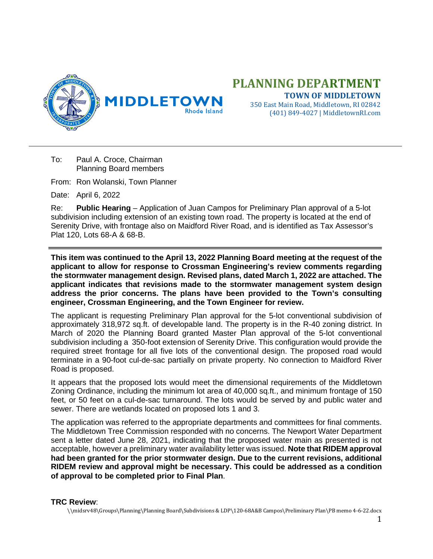

## **PLANNING DEPARTMENT TOWN OF MIDDLETOWN**

350 East Main Road, Middletown, RI 02842 (401) 849-4027 | MiddletownRI.com

To: Paul A. Croce, Chairman Planning Board members

From: Ron Wolanski, Town Planner

Date: April 6, 2022

Re: **Public Hearing** – Application of Juan Campos for Preliminary Plan approval of a 5-lot subdivision including extension of an existing town road. The property is located at the end of Serenity Drive, with frontage also on Maidford River Road, and is identified as Tax Assessor's Plat 120, Lots 68-A & 68-B.

**This item was continued to the April 13, 2022 Planning Board meeting at the request of the applicant to allow for response to Crossman Engineering's review comments regarding the stormwater management design. Revised plans, dated March 1, 2022 are attached. The applicant indicates that revisions made to the stormwater management system design address the prior concerns. The plans have been provided to the Town's consulting engineer, Crossman Engineering, and the Town Engineer for review.** 

The applicant is requesting Preliminary Plan approval for the 5-lot conventional subdivision of approximately 318,972 sq.ft. of developable land. The property is in the R-40 zoning district. In March of 2020 the Planning Board granted Master Plan approval of the 5-lot conventional subdivision including a 350-foot extension of Serenity Drive. This configuration would provide the required street frontage for all five lots of the conventional design. The proposed road would terminate in a 90-foot cul-de-sac partially on private property. No connection to Maidford River Road is proposed.

It appears that the proposed lots would meet the dimensional requirements of the Middletown Zoning Ordinance, including the minimum lot area of 40,000 sq.ft., and minimum frontage of 150 feet, or 50 feet on a cul-de-sac turnaround. The lots would be served by and public water and sewer. There are wetlands located on proposed lots 1 and 3.

The application was referred to the appropriate departments and committees for final comments. The Middletown Tree Commission responded with no concerns. The Newport Water Department sent a letter dated June 28, 2021, indicating that the proposed water main as presented is not acceptable, however a preliminary water availability letter was issued. **Note that RIDEM approval had been granted for the prior stormwater design. Due to the current revisions, additional RIDEM review and approval might be necessary. This could be addressed as a condition of approval to be completed prior to Final Plan**.

## **TRC Review**:

\\midsrv48\Groups\Planning\Planning Board\Subdivisions & LDP\120-68A&B Campos\Preliminary Plan\PB memo 4-6-22.docx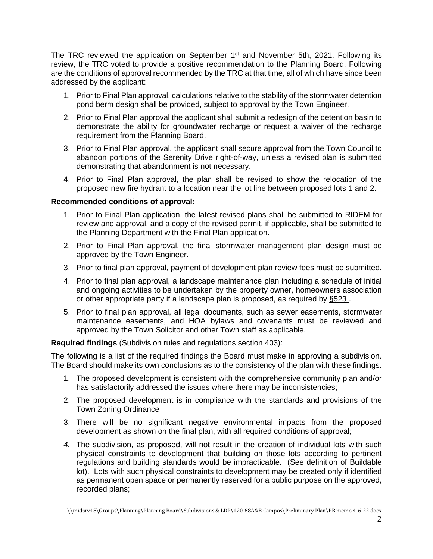The TRC reviewed the application on September 1<sup>st</sup> and November 5th, 2021. Following its review, the TRC voted to provide a positive recommendation to the Planning Board. Following are the conditions of approval recommended by the TRC at that time, all of which have since been addressed by the applicant:

- 1. Prior to Final Plan approval, calculations relative to the stability of the stormwater detention pond berm design shall be provided, subject to approval by the Town Engineer.
- 2. Prior to Final Plan approval the applicant shall submit a redesign of the detention basin to demonstrate the ability for groundwater recharge or request a waiver of the recharge requirement from the Planning Board.
- 3. Prior to Final Plan approval, the applicant shall secure approval from the Town Council to abandon portions of the Serenity Drive right-of-way, unless a revised plan is submitted demonstrating that abandonment is not necessary.
- 4. Prior to Final Plan approval, the plan shall be revised to show the relocation of the proposed new fire hydrant to a location near the lot line between proposed lots 1 and 2.

## **Recommended conditions of approval:**

- 1. Prior to Final Plan application, the latest revised plans shall be submitted to RIDEM for review and approval, and a copy of the revised permit, if applicable, shall be submitted to the Planning Department with the Final Plan application.
- 2. Prior to Final Plan approval, the final stormwater management plan design must be approved by the Town Engineer.
- 3. Prior to final plan approval, payment of development plan review fees must be submitted.
- 4. Prior to final plan approval, a landscape maintenance plan including a schedule of initial and ongoing activities to be undertaken by the property owner, homeowners association or other appropriate party if a landscape plan is proposed, as required by [§523 .](http://library.amlegal.com/nxt/gateway.dll/Rhode%20Island/middletown_ri/appendixasubdivisionregulations?f=templates$fn=default.htm$3.0$vid=amlegal:middletown_ri$anc=JD_App.A.Sec.509)
- 5. Prior to final plan approval, all legal documents, such as sewer easements, stormwater maintenance easements, and HOA bylaws and covenants must be reviewed and approved by the Town Solicitor and other Town staff as applicable.

**Required findings** (Subdivision rules and regulations section 403):

The following is a list of the required findings the Board must make in approving a subdivision. The Board should make its own conclusions as to the consistency of the plan with these findings.

- 1. The proposed development is consistent with the comprehensive community plan and/or has satisfactorily addressed the issues where there may be inconsistencies;
- 2. The proposed development is in compliance with the standards and provisions of the Town Zoning Ordinance
- 3. There will be no significant negative environmental impacts from the proposed development as shown on the final plan, with all required conditions of approval;
- *4.* The subdivision, as proposed, will not result in the creation of individual lots with such physical constraints to development that building on those lots according to pertinent regulations and building standards would be impracticable. (See definition of Buildable lot). Lots with such physical constraints to development may be created only if identified as permanent open space or permanently reserved for a public purpose on the approved, recorded plans;